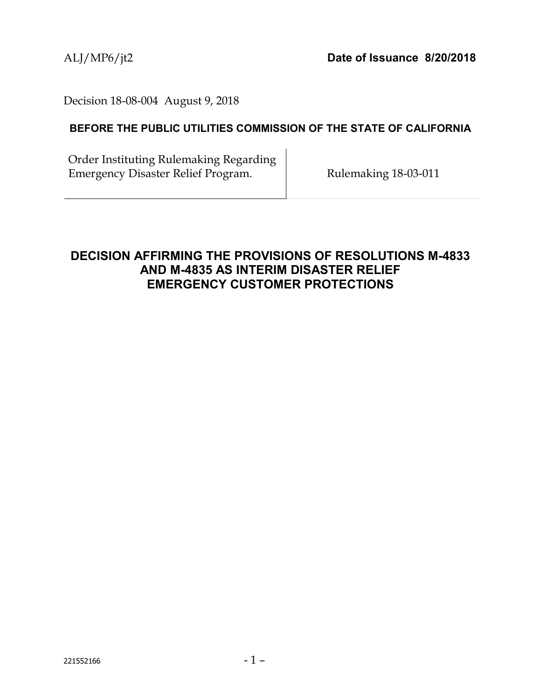#### Decision 18-08-004 August 9, 2018

## **BEFORE THE PUBLIC UTILITIES COMMISSION OF THE STATE OF CALIFORNIA**

Order Instituting Rulemaking Regarding Emergency Disaster Relief Program. Rulemaking 18-03-011

## <span id="page-0-0"></span>**DECISION AFFIRMING THE PROVISIONS OF RESOLUTIONS M-4833 AND M-4835 AS INTERIM DISASTER RELIEF EMERGENCY CUSTOMER PROTECTIONS**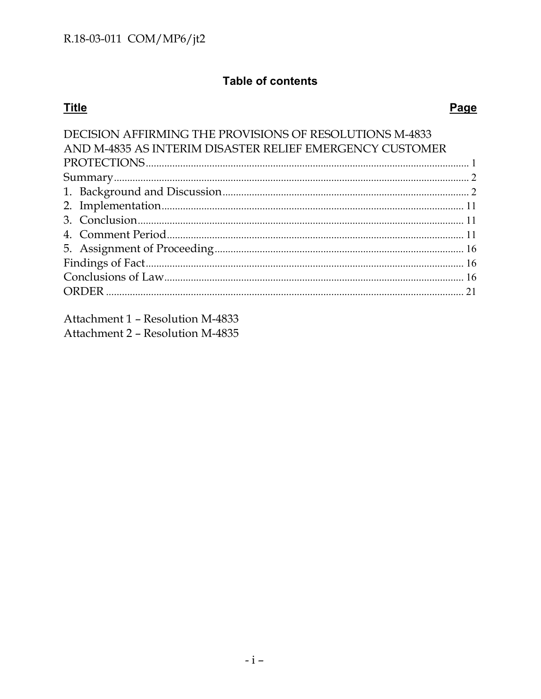# **Table of contents**

# **Title**

## Page

| DECISION AFFIRMING THE PROVISIONS OF RESOLUTIONS M-4833  |  |
|----------------------------------------------------------|--|
| AND M-4835 AS INTERIM DISASTER RELIEF EMERGENCY CUSTOMER |  |
|                                                          |  |
|                                                          |  |
|                                                          |  |
|                                                          |  |
|                                                          |  |
|                                                          |  |
|                                                          |  |
|                                                          |  |
|                                                          |  |
|                                                          |  |
|                                                          |  |

Attachment 1 - Resolution M-4833 Attachment 2 - Resolution M-4835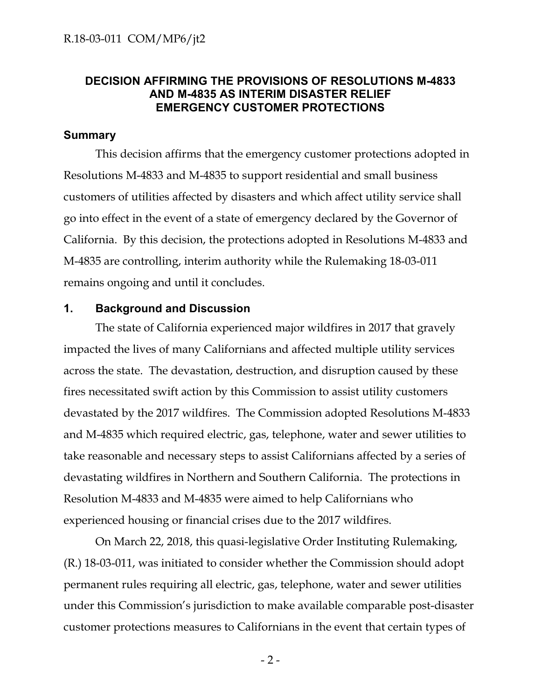## **DECISION AFFIRMING THE PROVISIONS OF RESOLUTIONS M-4833 AND M-4835 AS INTERIM DISASTER RELIEF EMERGENCY CUSTOMER PROTECTIONS**

#### <span id="page-2-0"></span>**Summary**

This decision affirms that the emergency customer protections adopted in Resolutions M-4833 and M-4835 to support residential and small business customers of utilities affected by disasters and which affect utility service shall go into effect in the event of a state of emergency declared by the Governor of California. By this decision, the protections adopted in Resolutions M-4833 and M-4835 are controlling, interim authority while the Rulemaking 18-03-011 remains ongoing and until it concludes.

#### <span id="page-2-1"></span>**1. Background and Discussion**

The state of California experienced major wildfires in 2017 that gravely impacted the lives of many Californians and affected multiple utility services across the state. The devastation, destruction, and disruption caused by these fires necessitated swift action by this Commission to assist utility customers devastated by the 2017 wildfires. The Commission adopted Resolutions M-4833 and M-4835 which required electric, gas, telephone, water and sewer utilities to take reasonable and necessary steps to assist Californians affected by a series of devastating wildfires in Northern and Southern California. The protections in Resolution M-4833 and M-4835 were aimed to help Californians who experienced housing or financial crises due to the 2017 wildfires.

On March 22, 2018, this quasi-legislative Order Instituting Rulemaking, (R.) 18-03-011, was initiated to consider whether the Commission should adopt permanent rules requiring all electric, gas, telephone, water and sewer utilities under this Commission's jurisdiction to make available comparable post-disaster customer protections measures to Californians in the event that certain types of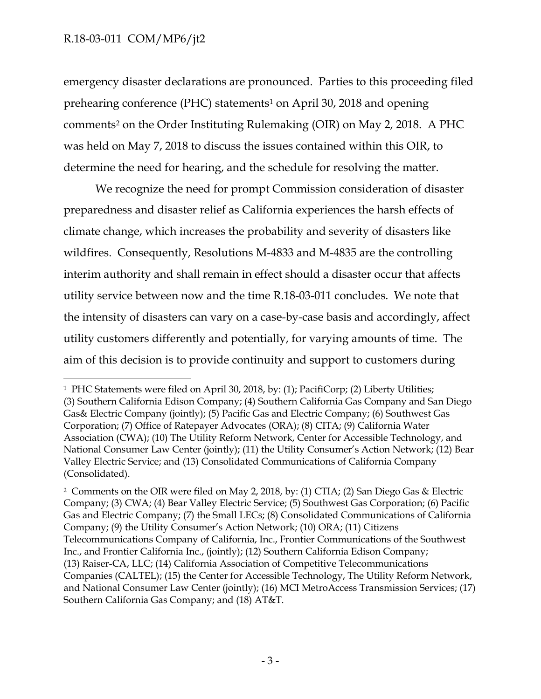$\overline{a}$ 

emergency disaster declarations are pronounced. Parties to this proceeding filed prehearing conference (PHC) statements<sup>1</sup> on April 30, 2018 and opening comments<sup>2</sup> on the Order Instituting Rulemaking (OIR) on May 2, 2018. A PHC was held on May 7, 2018 to discuss the issues contained within this OIR, to determine the need for hearing, and the schedule for resolving the matter.

We recognize the need for prompt Commission consideration of disaster preparedness and disaster relief as California experiences the harsh effects of climate change, which increases the probability and severity of disasters like wildfires. Consequently, Resolutions M-4833 and M-4835 are the controlling interim authority and shall remain in effect should a disaster occur that affects utility service between now and the time R.18-03-011 concludes. We note that the intensity of disasters can vary on a case-by-case basis and accordingly, affect utility customers differently and potentially, for varying amounts of time. The aim of this decision is to provide continuity and support to customers during

<sup>1</sup> PHC Statements were filed on April 30, 2018, by: (1); PacifiCorp; (2) Liberty Utilities; (3) Southern California Edison Company; (4) Southern California Gas Company and San Diego Gas& Electric Company (jointly); (5) Pacific Gas and Electric Company; (6) Southwest Gas Corporation; (7) Office of Ratepayer Advocates (ORA); (8) CITA; (9) California Water Association (CWA); (10) The Utility Reform Network, Center for Accessible Technology, and National Consumer Law Center (jointly); (11) the Utility Consumer's Action Network; (12) Bear Valley Electric Service; and (13) Consolidated Communications of California Company (Consolidated).

<sup>2</sup> Comments on the OIR were filed on May 2, 2018, by: (1) CTIA; (2) San Diego Gas & Electric Company; (3) CWA; (4) Bear Valley Electric Service; (5) Southwest Gas Corporation; (6) Pacific Gas and Electric Company; (7) the Small LECs; (8) Consolidated Communications of California Company; (9) the Utility Consumer's Action Network; (10) ORA; (11) Citizens Telecommunications Company of California, Inc., Frontier Communications of the Southwest Inc., and Frontier California Inc., (jointly); (12) Southern California Edison Company; (13) Raiser-CA, LLC; (14) California Association of Competitive Telecommunications Companies (CALTEL); (15) the Center for Accessible Technology, The Utility Reform Network, and National Consumer Law Center (jointly); (16) MCI MetroAccess Transmission Services; (17) Southern California Gas Company; and (18) AT&T.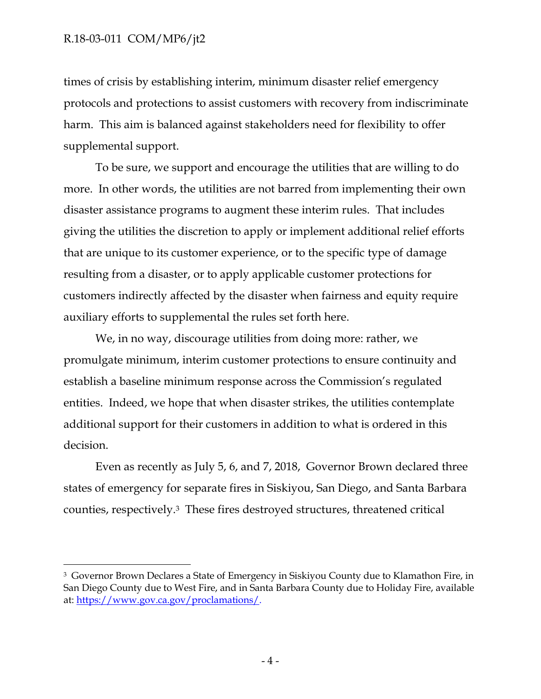$\overline{a}$ 

times of crisis by establishing interim, minimum disaster relief emergency protocols and protections to assist customers with recovery from indiscriminate harm. This aim is balanced against stakeholders need for flexibility to offer supplemental support.

To be sure, we support and encourage the utilities that are willing to do more. In other words, the utilities are not barred from implementing their own disaster assistance programs to augment these interim rules. That includes giving the utilities the discretion to apply or implement additional relief efforts that are unique to its customer experience, or to the specific type of damage resulting from a disaster, or to apply applicable customer protections for customers indirectly affected by the disaster when fairness and equity require auxiliary efforts to supplemental the rules set forth here.

We, in no way, discourage utilities from doing more: rather, we promulgate minimum, interim customer protections to ensure continuity and establish a baseline minimum response across the Commission's regulated entities. Indeed, we hope that when disaster strikes, the utilities contemplate additional support for their customers in addition to what is ordered in this decision.

Even as recently as July 5, 6, and 7, 2018, Governor Brown declared three states of emergency for separate fires in Siskiyou, San Diego, and Santa Barbara counties, respectively.3 These fires destroyed structures, threatened critical

<sup>3</sup> Governor Brown Declares a State of Emergency in Siskiyou County due to Klamathon Fire, in San Diego County due to West Fire, and in Santa Barbara County due to Holiday Fire, available at: [https://www.gov.ca.gov/proclamations/.](https://www.gov.ca.gov/proclamations/)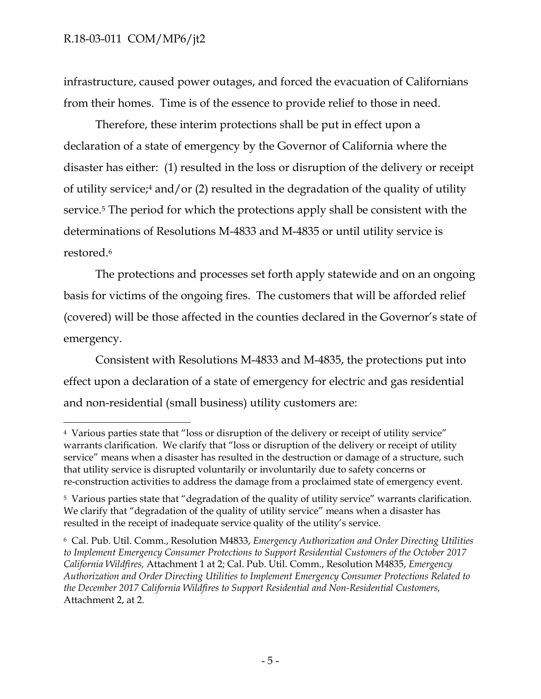$\overline{a}$ 

infrastructure, caused power outages, and forced the evacuation of Californians from their homes. Time is of the essence to provide relief to those in need.

Therefore, these interim protections shall be put in effect upon a declaration of a state of emergency by the Governor of California where the disaster has either: (1) resulted in the loss or disruption of the delivery or receipt of utility service;<sup>4</sup> and/or (2) resulted in the degradation of the quality of utility service.<sup>5</sup> The period for which the protections apply shall be consistent with the determinations of Resolutions M-4833 and M-4835 or until utility service is restored.<sup>6</sup>

The protections and processes set forth apply statewide and on an ongoing basis for victims of the ongoing fires. The customers that will be afforded relief (covered) will be those affected in the counties declared in the Governor's state of emergency.

Consistent with Resolutions M-4833 and M-4835, the protections put into effect upon a declaration of a state of emergency for electric and gas residential and non-residential (small business) utility customers are:

<sup>&</sup>lt;sup>4</sup> Various parties state that "loss or disruption of the delivery or receipt of utility service" warrants clarification. We clarify that "loss or disruption of the delivery or receipt of utility service" means when a disaster has resulted in the destruction or damage of a structure, such that utility service is disrupted voluntarily or involuntarily due to safety concerns or re-construction activities to address the damage from a proclaimed state of emergency event.

<sup>5</sup> Various parties state that "degradation of the quality of utility service" warrants clarification. We clarify that "degradation of the quality of utility service" means when a disaster has resulted in the receipt of inadequate service quality of the utility's service.

<sup>6</sup> Cal. Pub. Util. Comm., Resolution M4833, *Emergency Authorization and Order Directing Utilities to Implement Emergency Consumer Protections to Support Residential Customers of the October 2017 California Wildfires,* Attachment 1 at 2; Cal. Pub. Util. Comm., Resolution M4835, *Emergency Authorization and Order Directing Utilities to Implement Emergency Consumer Protections Related to the December 2017 California Wildfires to Support Residential and Non-Residential Customers,* Attachment 2, at 2.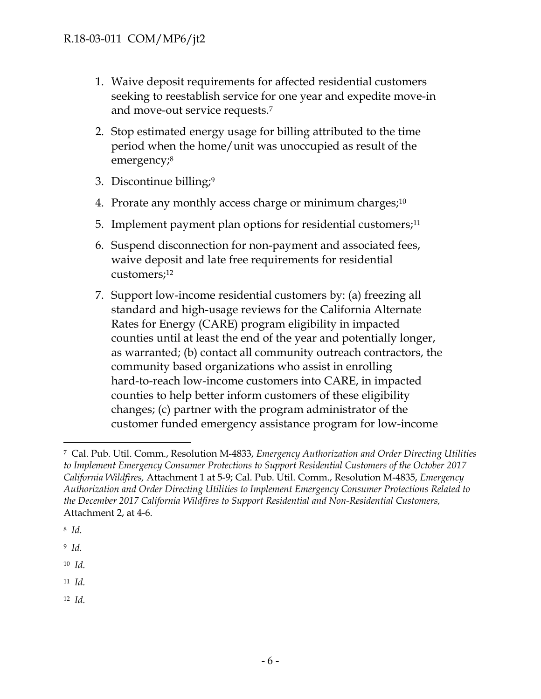- 1. Waive deposit requirements for affected residential customers seeking to reestablish service for one year and expedite move-in and move-out service requests.<sup>7</sup>
- 2. Stop estimated energy usage for billing attributed to the time period when the home/unit was unoccupied as result of the emergency;<sup>8</sup>
- 3. Discontinue billing;<sup>9</sup>
- 4. Prorate any monthly access charge or minimum charges;<sup>10</sup>
- 5. Implement payment plan options for residential customers;<sup>11</sup>
- 6. Suspend disconnection for non-payment and associated fees, waive deposit and late free requirements for residential customers;<sup>12</sup>
- 7. Support low-income residential customers by: (a) freezing all standard and high-usage reviews for the California Alternate Rates for Energy (CARE) program eligibility in impacted counties until at least the end of the year and potentially longer, as warranted; (b) contact all community outreach contractors, the community based organizations who assist in enrolling hard-to-reach low-income customers into CARE, in impacted counties to help better inform customers of these eligibility changes; (c) partner with the program administrator of the customer funded emergency assistance program for low-income

 $\overline{a}$ 

<sup>9</sup> *Id.*

<sup>10</sup> *Id.*

<sup>11</sup> *Id.*

12 *Id.*

<sup>7</sup> Cal. Pub. Util. Comm., Resolution M-4833, *Emergency Authorization and Order Directing Utilities to Implement Emergency Consumer Protections to Support Residential Customers of the October 2017 California Wildfires,* Attachment 1 at 5-9; Cal. Pub. Util. Comm., Resolution M-4835, *Emergency Authorization and Order Directing Utilities to Implement Emergency Consumer Protections Related to the December 2017 California Wildfires to Support Residential and Non-Residential Customers,* Attachment 2, at 4-6.

<sup>8</sup> *Id.*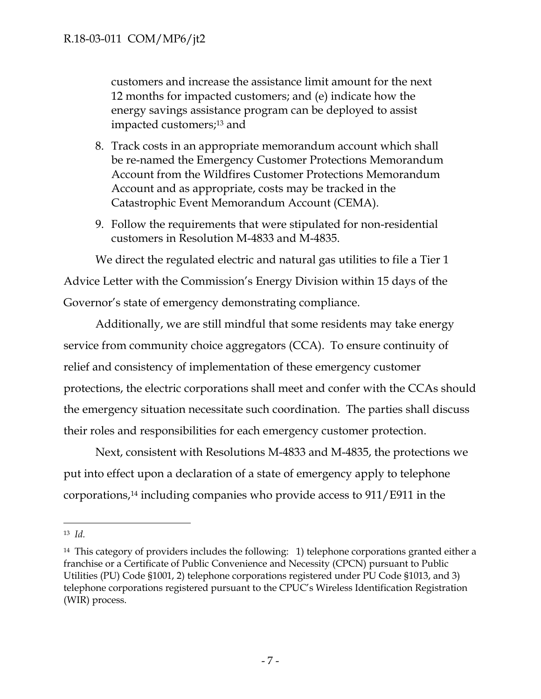customers and increase the assistance limit amount for the next 12 months for impacted customers; and (e) indicate how the energy savings assistance program can be deployed to assist impacted customers;<sup>13</sup> and

- 8. Track costs in an appropriate memorandum account which shall be re-named the Emergency Customer Protections Memorandum Account from the Wildfires Customer Protections Memorandum Account and as appropriate, costs may be tracked in the Catastrophic Event Memorandum Account (CEMA).
- 9. Follow the requirements that were stipulated for non-residential customers in Resolution M-4833 and M-4835.

We direct the regulated electric and natural gas utilities to file a Tier 1 Advice Letter with the Commission's Energy Division within 15 days of the Governor's state of emergency demonstrating compliance.

Additionally, we are still mindful that some residents may take energy service from community choice aggregators (CCA). To ensure continuity of relief and consistency of implementation of these emergency customer protections, the electric corporations shall meet and confer with the CCAs should the emergency situation necessitate such coordination. The parties shall discuss their roles and responsibilities for each emergency customer protection.

Next, consistent with Resolutions M-4833 and M-4835, the protections we put into effect upon a declaration of a state of emergency apply to telephone corporations,<sup>14</sup> including companies who provide access to 911/E911 in the

 $\overline{a}$ 

<sup>13</sup> *Id.*

<sup>14</sup> This category of providers includes the following: 1) telephone corporations granted either a franchise or a Certificate of Public Convenience and Necessity (CPCN) pursuant to Public Utilities (PU) Code §1001, 2) telephone corporations registered under PU Code §1013, and 3) telephone corporations registered pursuant to the CPUC's Wireless Identification Registration (WIR) process.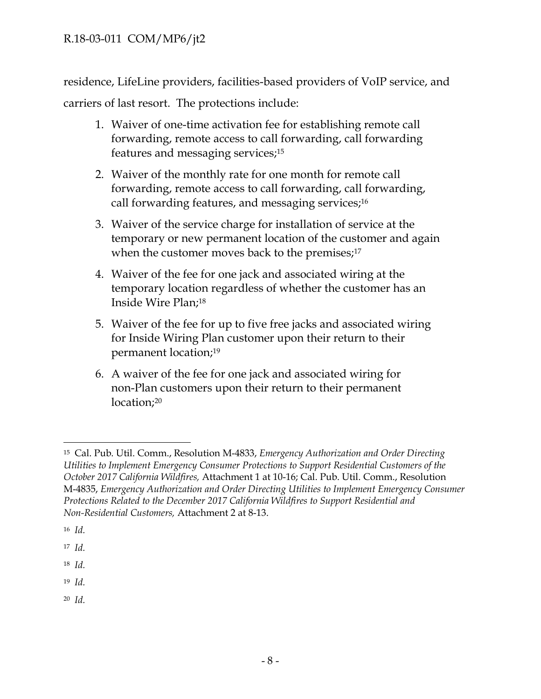residence, LifeLine providers, facilities-based providers of VoIP service, and

carriers of last resort. The protections include:

- 1. Waiver of one-time activation fee for establishing remote call forwarding, remote access to call forwarding, call forwarding features and messaging services;<sup>15</sup>
- 2. Waiver of the monthly rate for one month for remote call forwarding, remote access to call forwarding, call forwarding, call forwarding features, and messaging services;<sup>16</sup>
- 3. Waiver of the service charge for installation of service at the temporary or new permanent location of the customer and again when the customer moves back to the premises;<sup>17</sup>
- 4. Waiver of the fee for one jack and associated wiring at the temporary location regardless of whether the customer has an Inside Wire Plan;<sup>18</sup>
- 5. Waiver of the fee for up to five free jacks and associated wiring for Inside Wiring Plan customer upon their return to their permanent location;<sup>19</sup>
- 6. A waiver of the fee for one jack and associated wiring for non-Plan customers upon their return to their permanent location;<sup>20</sup>

 $\overline{a}$ 

<sup>18</sup> *Id.*

<sup>19</sup> *Id.*

20 *Id.*

<sup>15</sup> Cal. Pub. Util. Comm., Resolution M-4833, *Emergency Authorization and Order Directing Utilities to Implement Emergency Consumer Protections to Support Residential Customers of the October 2017 California Wildfires,* Attachment 1 at 10-16; Cal. Pub. Util. Comm., Resolution M-4835, *Emergency Authorization and Order Directing Utilities to Implement Emergency Consumer Protections Related to the December 2017 California Wildfires to Support Residential and Non-Residential Customers,* Attachment 2 at 8-13.

<sup>16</sup> *Id.*

<sup>17</sup> *Id.*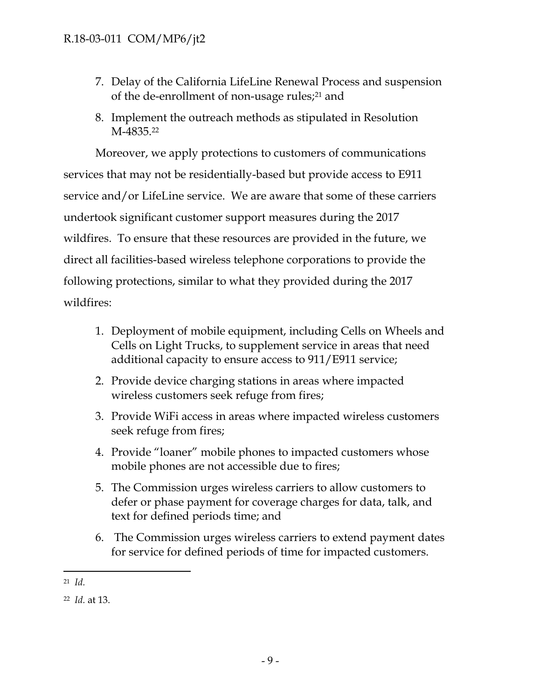- 7. Delay of the California LifeLine Renewal Process and suspension of the de-enrollment of non-usage rules;<sup>21</sup> and
- 8. Implement the outreach methods as stipulated in Resolution M-4835.<sup>22</sup>

Moreover, we apply protections to customers of communications services that may not be residentially-based but provide access to E911 service and/or LifeLine service. We are aware that some of these carriers undertook significant customer support measures during the 2017 wildfires. To ensure that these resources are provided in the future, we direct all facilities-based wireless telephone corporations to provide the following protections, similar to what they provided during the 2017 wildfires:

- 1. Deployment of mobile equipment, including Cells on Wheels and Cells on Light Trucks, to supplement service in areas that need additional capacity to ensure access to 911/E911 service;
- 2. Provide device charging stations in areas where impacted wireless customers seek refuge from fires;
- 3. Provide WiFi access in areas where impacted wireless customers seek refuge from fires;
- 4. Provide "loaner" mobile phones to impacted customers whose mobile phones are not accessible due to fires;
- 5. The Commission urges wireless carriers to allow customers to defer or phase payment for coverage charges for data, talk, and text for defined periods time; and
- 6. The Commission urges wireless carriers to extend payment dates for service for defined periods of time for impacted customers.

 $\overline{a}$ <sup>21</sup> *Id.*

<sup>22</sup> *Id.* at 13.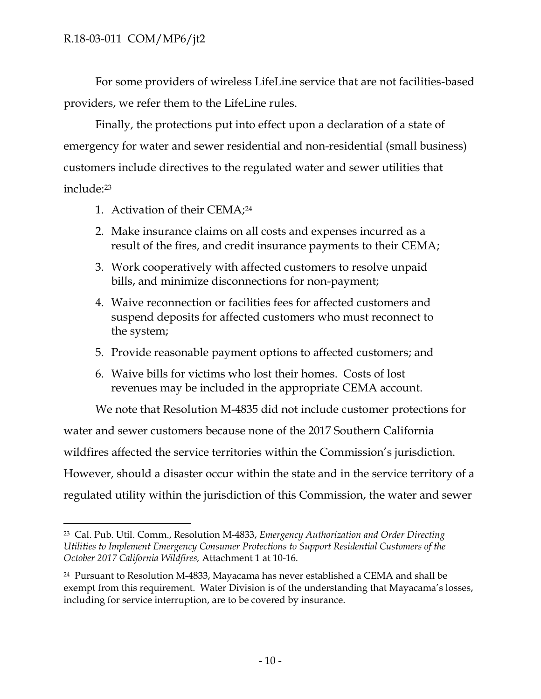$\overline{a}$ 

For some providers of wireless LifeLine service that are not facilities-based providers, we refer them to the LifeLine rules.

Finally, the protections put into effect upon a declaration of a state of emergency for water and sewer residential and non-residential (small business) customers include directives to the regulated water and sewer utilities that include:<sup>23</sup>

- 1. Activation of their CEMA; 24
- 2. Make insurance claims on all costs and expenses incurred as a result of the fires, and credit insurance payments to their CEMA;
- 3. Work cooperatively with affected customers to resolve unpaid bills, and minimize disconnections for non-payment;
- 4. Waive reconnection or facilities fees for affected customers and suspend deposits for affected customers who must reconnect to the system;
- 5. Provide reasonable payment options to affected customers; and
- 6. Waive bills for victims who lost their homes. Costs of lost revenues may be included in the appropriate CEMA account.

We note that Resolution M-4835 did not include customer protections for water and sewer customers because none of the 2017 Southern California wildfires affected the service territories within the Commission's jurisdiction. However, should a disaster occur within the state and in the service territory of a regulated utility within the jurisdiction of this Commission, the water and sewer

<sup>23</sup> Cal. Pub. Util. Comm., Resolution M-4833, *Emergency Authorization and Order Directing Utilities to Implement Emergency Consumer Protections to Support Residential Customers of the October 2017 California Wildfires,* Attachment 1 at 10-16.

<sup>24</sup> Pursuant to Resolution M-4833, Mayacama has never established a CEMA and shall be exempt from this requirement. Water Division is of the understanding that Mayacama's losses, including for service interruption, are to be covered by insurance.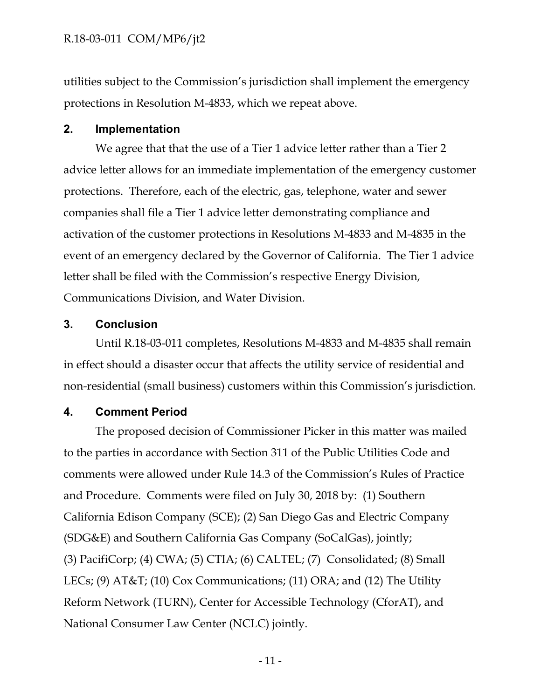utilities subject to the Commission's jurisdiction shall implement the emergency protections in Resolution M-4833, which we repeat above.

#### <span id="page-11-0"></span>**2. Implementation**

We agree that that the use of a Tier 1 advice letter rather than a Tier 2 advice letter allows for an immediate implementation of the emergency customer protections. Therefore, each of the electric, gas, telephone, water and sewer companies shall file a Tier 1 advice letter demonstrating compliance and activation of the customer protections in Resolutions M-4833 and M-4835 in the event of an emergency declared by the Governor of California. The Tier 1 advice letter shall be filed with the Commission's respective Energy Division, Communications Division, and Water Division.

## <span id="page-11-1"></span>**3. Conclusion**

Until R.18-03-011 completes, Resolutions M-4833 and M-4835 shall remain in effect should a disaster occur that affects the utility service of residential and non-residential (small business) customers within this Commission's jurisdiction.

## <span id="page-11-2"></span>**4. Comment Period**

The proposed decision of Commissioner Picker in this matter was mailed to the parties in accordance with Section 311 of the Public Utilities Code and comments were allowed under Rule 14.3 of the Commission's Rules of Practice and Procedure. Comments were filed on July 30, 2018 by: (1) Southern California Edison Company (SCE); (2) San Diego Gas and Electric Company (SDG&E) and Southern California Gas Company (SoCalGas), jointly; (3) PacifiCorp; (4) CWA; (5) CTIA; (6) CALTEL; (7) Consolidated; (8) Small LECs; (9) AT&T; (10) Cox Communications; (11) ORA; and (12) The Utility Reform Network (TURN), Center for Accessible Technology (CforAT), and National Consumer Law Center (NCLC) jointly.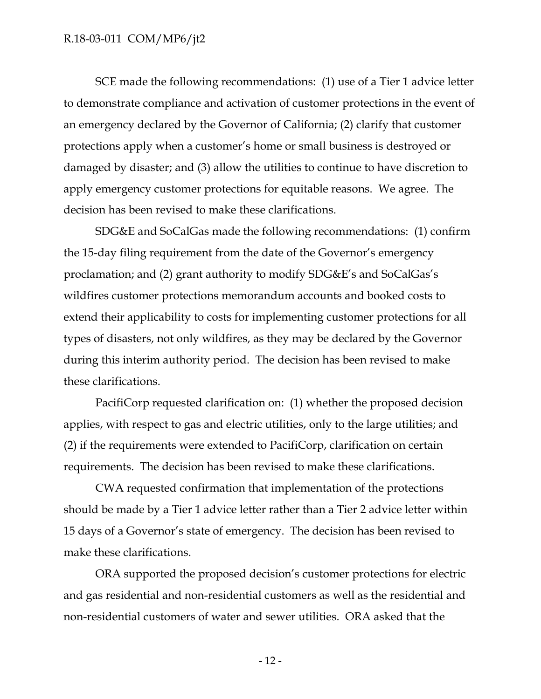SCE made the following recommendations: (1) use of a Tier 1 advice letter to demonstrate compliance and activation of customer protections in the event of an emergency declared by the Governor of California; (2) clarify that customer protections apply when a customer's home or small business is destroyed or damaged by disaster; and (3) allow the utilities to continue to have discretion to apply emergency customer protections for equitable reasons. We agree. The decision has been revised to make these clarifications.

SDG&E and SoCalGas made the following recommendations: (1) confirm the 15-day filing requirement from the date of the Governor's emergency proclamation; and (2) grant authority to modify SDG&E's and SoCalGas's wildfires customer protections memorandum accounts and booked costs to extend their applicability to costs for implementing customer protections for all types of disasters, not only wildfires, as they may be declared by the Governor during this interim authority period. The decision has been revised to make these clarifications.

PacifiCorp requested clarification on: (1) whether the proposed decision applies, with respect to gas and electric utilities, only to the large utilities; and (2) if the requirements were extended to PacifiCorp, clarification on certain requirements. The decision has been revised to make these clarifications.

CWA requested confirmation that implementation of the protections should be made by a Tier 1 advice letter rather than a Tier 2 advice letter within 15 days of a Governor's state of emergency. The decision has been revised to make these clarifications.

ORA supported the proposed decision's customer protections for electric and gas residential and non-residential customers as well as the residential and non-residential customers of water and sewer utilities. ORA asked that the

- 12 -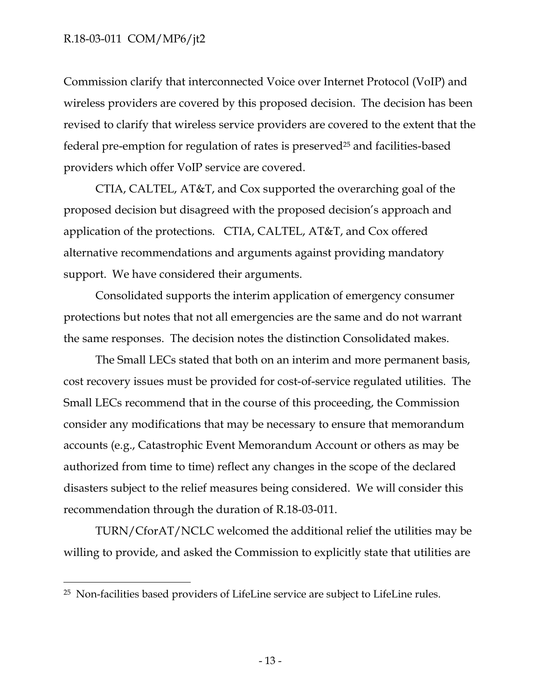$\overline{a}$ 

Commission clarify that interconnected Voice over Internet Protocol (VoIP) and wireless providers are covered by this proposed decision. The decision has been revised to clarify that wireless service providers are covered to the extent that the federal pre-emption for regulation of rates is preserved<sup>25</sup> and facilities-based providers which offer VoIP service are covered.

CTIA, CALTEL, AT&T, and Cox supported the overarching goal of the proposed decision but disagreed with the proposed decision's approach and application of the protections. CTIA, CALTEL, AT&T, and Cox offered alternative recommendations and arguments against providing mandatory support. We have considered their arguments.

Consolidated supports the interim application of emergency consumer protections but notes that not all emergencies are the same and do not warrant the same responses. The decision notes the distinction Consolidated makes.

The Small LECs stated that both on an interim and more permanent basis, cost recovery issues must be provided for cost-of-service regulated utilities. The Small LECs recommend that in the course of this proceeding, the Commission consider any modifications that may be necessary to ensure that memorandum accounts (e.g., Catastrophic Event Memorandum Account or others as may be authorized from time to time) reflect any changes in the scope of the declared disasters subject to the relief measures being considered. We will consider this recommendation through the duration of R.18-03-011.

TURN/CforAT/NCLC welcomed the additional relief the utilities may be willing to provide, and asked the Commission to explicitly state that utilities are

<sup>25</sup> Non-facilities based providers of LifeLine service are subject to LifeLine rules.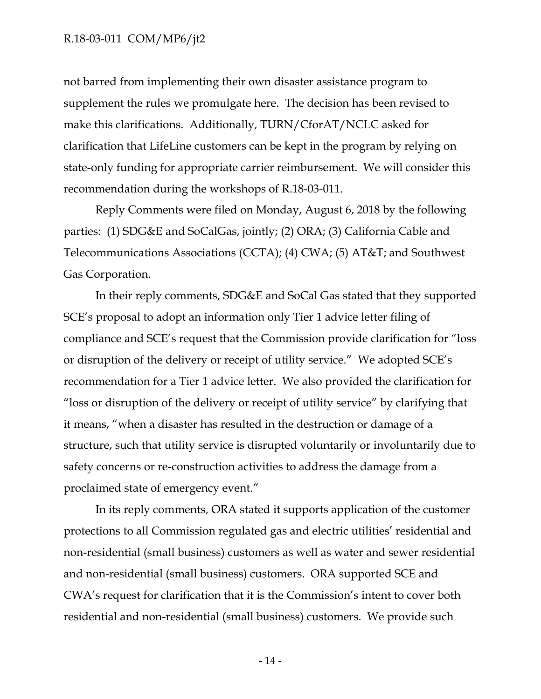not barred from implementing their own disaster assistance program to supplement the rules we promulgate here. The decision has been revised to make this clarifications. Additionally, TURN/CforAT/NCLC asked for clarification that LifeLine customers can be kept in the program by relying on state-only funding for appropriate carrier reimbursement. We will consider this recommendation during the workshops of R.18-03-011.

Reply Comments were filed on Monday, August 6, 2018 by the following parties: (1) SDG&E and SoCalGas, jointly; (2) ORA; (3) California Cable and Telecommunications Associations (CCTA); (4) CWA; (5) AT&T; and Southwest Gas Corporation.

In their reply comments, SDG&E and SoCal Gas stated that they supported SCE's proposal to adopt an information only Tier 1 advice letter filing of compliance and SCE's request that the Commission provide clarification for "loss or disruption of the delivery or receipt of utility service." We adopted SCE's recommendation for a Tier 1 advice letter. We also provided the clarification for "loss or disruption of the delivery or receipt of utility service" by clarifying that it means, "when a disaster has resulted in the destruction or damage of a structure, such that utility service is disrupted voluntarily or involuntarily due to safety concerns or re-construction activities to address the damage from a proclaimed state of emergency event."

In its reply comments, ORA stated it supports application of the customer protections to all Commission regulated gas and electric utilities' residential and non-residential (small business) customers as well as water and sewer residential and non-residential (small business) customers. ORA supported SCE and CWA's request for clarification that it is the Commission's intent to cover both residential and non-residential (small business) customers. We provide such

- 14 -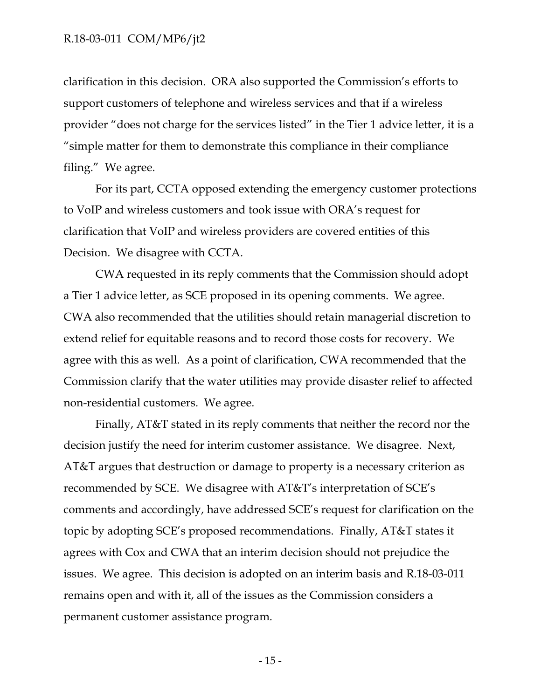clarification in this decision. ORA also supported the Commission's efforts to support customers of telephone and wireless services and that if a wireless provider "does not charge for the services listed" in the Tier 1 advice letter, it is a "simple matter for them to demonstrate this compliance in their compliance filing." We agree.

For its part, CCTA opposed extending the emergency customer protections to VoIP and wireless customers and took issue with ORA's request for clarification that VoIP and wireless providers are covered entities of this Decision. We disagree with CCTA.

CWA requested in its reply comments that the Commission should adopt a Tier 1 advice letter, as SCE proposed in its opening comments. We agree. CWA also recommended that the utilities should retain managerial discretion to extend relief for equitable reasons and to record those costs for recovery. We agree with this as well. As a point of clarification, CWA recommended that the Commission clarify that the water utilities may provide disaster relief to affected non-residential customers. We agree.

Finally, AT&T stated in its reply comments that neither the record nor the decision justify the need for interim customer assistance. We disagree. Next, AT&T argues that destruction or damage to property is a necessary criterion as recommended by SCE. We disagree with AT&T's interpretation of SCE's comments and accordingly, have addressed SCE's request for clarification on the topic by adopting SCE's proposed recommendations. Finally, AT&T states it agrees with Cox and CWA that an interim decision should not prejudice the issues. We agree. This decision is adopted on an interim basis and R.18-03-011 remains open and with it, all of the issues as the Commission considers a permanent customer assistance program.

- 15 -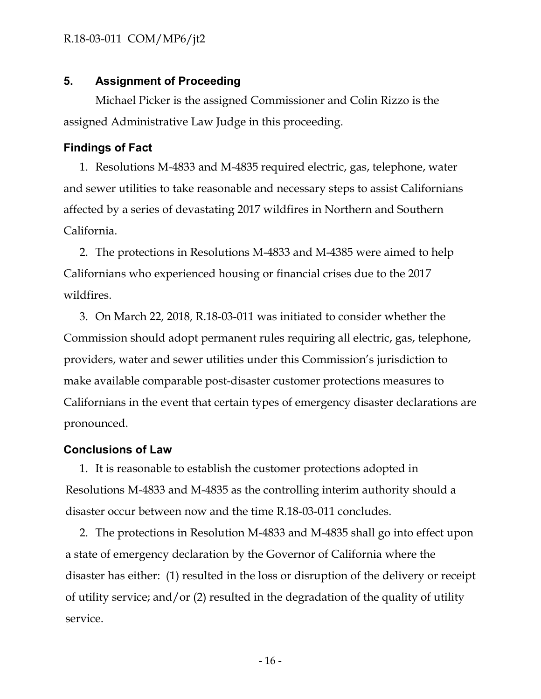## <span id="page-16-0"></span>**5. Assignment of Proceeding**

Michael Picker is the assigned Commissioner and Colin Rizzo is the assigned Administrative Law Judge in this proceeding.

## <span id="page-16-1"></span>**Findings of Fact**

1. Resolutions M-4833 and M-4835 required electric, gas, telephone, water and sewer utilities to take reasonable and necessary steps to assist Californians affected by a series of devastating 2017 wildfires in Northern and Southern California.

2. The protections in Resolutions M-4833 and M-4385 were aimed to help Californians who experienced housing or financial crises due to the 2017 wildfires.

3. On March 22, 2018, R.18-03-011 was initiated to consider whether the Commission should adopt permanent rules requiring all electric, gas, telephone, providers, water and sewer utilities under this Commission's jurisdiction to make available comparable post-disaster customer protections measures to Californians in the event that certain types of emergency disaster declarations are pronounced.

## <span id="page-16-2"></span>**Conclusions of Law**

1. It is reasonable to establish the customer protections adopted in Resolutions M-4833 and M-4835 as the controlling interim authority should a disaster occur between now and the time R.18-03-011 concludes.

2. The protections in Resolution M-4833 and M-4835 shall go into effect upon a state of emergency declaration by the Governor of California where the disaster has either: (1) resulted in the loss or disruption of the delivery or receipt of utility service; and/or (2) resulted in the degradation of the quality of utility service.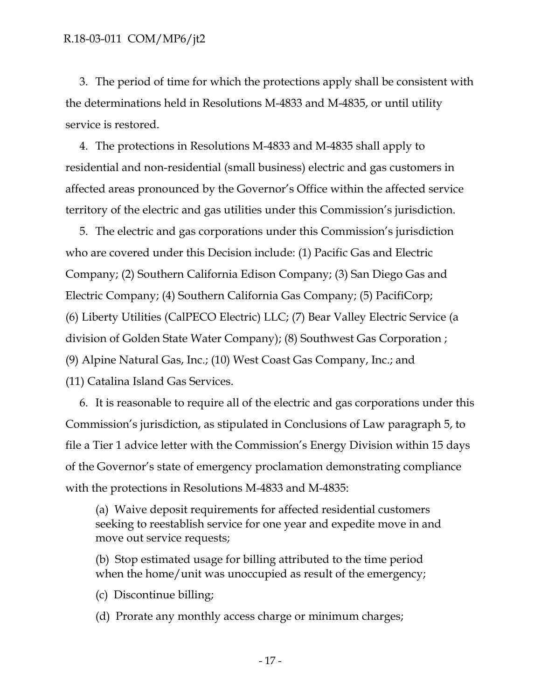3. The period of time for which the protections apply shall be consistent with the determinations held in Resolutions M-4833 and M-4835, or until utility service is restored.

4. The protections in Resolutions M-4833 and M-4835 shall apply to residential and non-residential (small business) electric and gas customers in affected areas pronounced by the Governor's Office within the affected service territory of the electric and gas utilities under this Commission's jurisdiction.

5. The electric and gas corporations under this Commission's jurisdiction who are covered under this Decision include: (1) Pacific Gas and Electric Company; (2) Southern California Edison Company; (3) San Diego Gas and Electric Company; (4) Southern California Gas Company; (5) PacifiCorp; (6) Liberty Utilities (CalPECO Electric) LLC; (7) Bear Valley Electric Service (a division of Golden State Water Company); (8) Southwest Gas Corporation ; (9) Alpine Natural Gas, Inc.; (10) West Coast Gas Company, Inc.; and (11) Catalina Island Gas Services.

6. It is reasonable to require all of the electric and gas corporations under this Commission's jurisdiction, as stipulated in Conclusions of Law paragraph 5, to file a Tier 1 advice letter with the Commission's Energy Division within 15 days of the Governor's state of emergency proclamation demonstrating compliance with the protections in Resolutions M-4833 and M-4835:

(a) Waive deposit requirements for affected residential customers seeking to reestablish service for one year and expedite move in and move out service requests;

(b) Stop estimated usage for billing attributed to the time period when the home/unit was unoccupied as result of the emergency;

- (c) Discontinue billing;
- (d) Prorate any monthly access charge or minimum charges;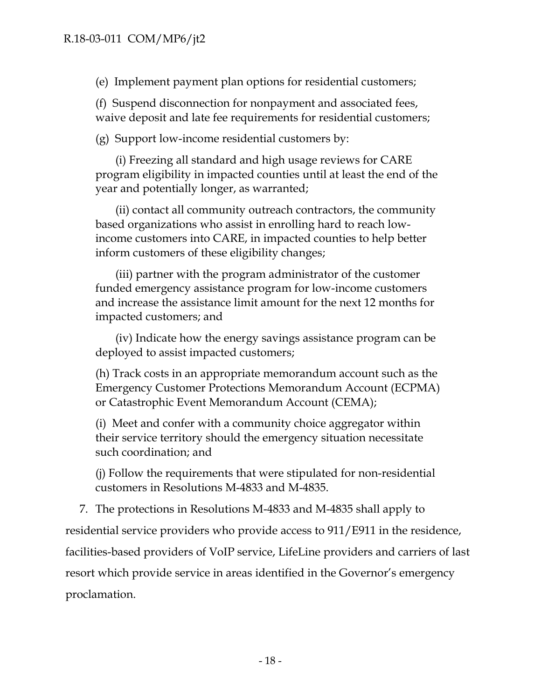(e) Implement payment plan options for residential customers;

(f) Suspend disconnection for nonpayment and associated fees, waive deposit and late fee requirements for residential customers;

(g) Support low-income residential customers by:

(i) Freezing all standard and high usage reviews for CARE program eligibility in impacted counties until at least the end of the year and potentially longer, as warranted;

(ii) contact all community outreach contractors, the community based organizations who assist in enrolling hard to reach lowincome customers into CARE, in impacted counties to help better inform customers of these eligibility changes;

(iii) partner with the program administrator of the customer funded emergency assistance program for low-income customers and increase the assistance limit amount for the next 12 months for impacted customers; and

(iv) Indicate how the energy savings assistance program can be deployed to assist impacted customers;

(h) Track costs in an appropriate memorandum account such as the Emergency Customer Protections Memorandum Account (ECPMA) or Catastrophic Event Memorandum Account (CEMA);

(i) Meet and confer with a community choice aggregator within their service territory should the emergency situation necessitate such coordination; and

(j) Follow the requirements that were stipulated for non-residential customers in Resolutions M-4833 and M-4835.

7. The protections in Resolutions M-4833 and M-4835 shall apply to

residential service providers who provide access to 911/E911 in the residence,

facilities-based providers of VoIP service, LifeLine providers and carriers of last

resort which provide service in areas identified in the Governor's emergency

proclamation.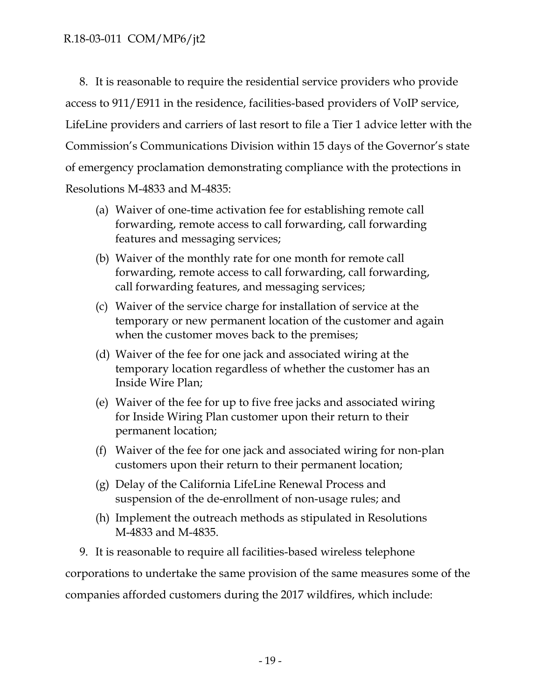8. It is reasonable to require the residential service providers who provide access to 911/E911 in the residence, facilities-based providers of VoIP service, LifeLine providers and carriers of last resort to file a Tier 1 advice letter with the Commission's Communications Division within 15 days of the Governor's state of emergency proclamation demonstrating compliance with the protections in Resolutions M-4833 and M-4835:

- (a) Waiver of one-time activation fee for establishing remote call forwarding, remote access to call forwarding, call forwarding features and messaging services;
- (b) Waiver of the monthly rate for one month for remote call forwarding, remote access to call forwarding, call forwarding, call forwarding features, and messaging services;
- (c) Waiver of the service charge for installation of service at the temporary or new permanent location of the customer and again when the customer moves back to the premises;
- (d) Waiver of the fee for one jack and associated wiring at the temporary location regardless of whether the customer has an Inside Wire Plan;
- (e) Waiver of the fee for up to five free jacks and associated wiring for Inside Wiring Plan customer upon their return to their permanent location;
- (f) Waiver of the fee for one jack and associated wiring for non-plan customers upon their return to their permanent location;
- (g) Delay of the California LifeLine Renewal Process and suspension of the de-enrollment of non-usage rules; and
- (h) Implement the outreach methods as stipulated in Resolutions M-4833 and M-4835.
- 9. It is reasonable to require all facilities-based wireless telephone corporations to undertake the same provision of the same measures some of the companies afforded customers during the 2017 wildfires, which include: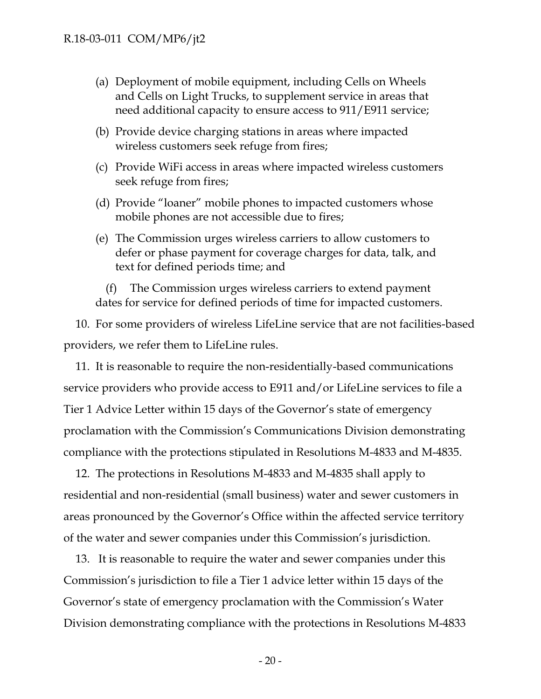- (a) Deployment of mobile equipment, including Cells on Wheels and Cells on Light Trucks, to supplement service in areas that need additional capacity to ensure access to 911/E911 service;
- (b) Provide device charging stations in areas where impacted wireless customers seek refuge from fires;
- (c) Provide WiFi access in areas where impacted wireless customers seek refuge from fires;
- (d) Provide "loaner" mobile phones to impacted customers whose mobile phones are not accessible due to fires;
- (e) The Commission urges wireless carriers to allow customers to defer or phase payment for coverage charges for data, talk, and text for defined periods time; and

(f) The Commission urges wireless carriers to extend payment dates for service for defined periods of time for impacted customers.

10. For some providers of wireless LifeLine service that are not facilities-based providers, we refer them to LifeLine rules.

11. It is reasonable to require the non-residentially-based communications service providers who provide access to E911 and/or LifeLine services to file a Tier 1 Advice Letter within 15 days of the Governor's state of emergency proclamation with the Commission's Communications Division demonstrating compliance with the protections stipulated in Resolutions M-4833 and M-4835.

12. The protections in Resolutions M-4833 and M-4835 shall apply to residential and non-residential (small business) water and sewer customers in areas pronounced by the Governor's Office within the affected service territory of the water and sewer companies under this Commission's jurisdiction.

13. It is reasonable to require the water and sewer companies under this Commission's jurisdiction to file a Tier 1 advice letter within 15 days of the Governor's state of emergency proclamation with the Commission's Water Division demonstrating compliance with the protections in Resolutions M-4833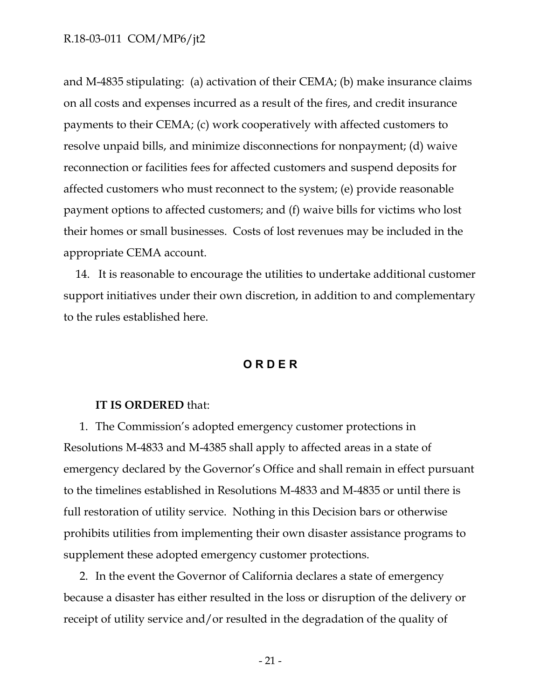and M-4835 stipulating: (a) activation of their CEMA; (b) make insurance claims on all costs and expenses incurred as a result of the fires, and credit insurance payments to their CEMA; (c) work cooperatively with affected customers to resolve unpaid bills, and minimize disconnections for nonpayment; (d) waive reconnection or facilities fees for affected customers and suspend deposits for affected customers who must reconnect to the system; (e) provide reasonable payment options to affected customers; and (f) waive bills for victims who lost their homes or small businesses. Costs of lost revenues may be included in the appropriate CEMA account.

14. It is reasonable to encourage the utilities to undertake additional customer support initiatives under their own discretion, in addition to and complementary to the rules established here.

#### **O R D E R**

#### <span id="page-21-0"></span>**IT IS ORDERED** that:

1. The Commission's adopted emergency customer protections in Resolutions M-4833 and M-4385 shall apply to affected areas in a state of emergency declared by the Governor's Office and shall remain in effect pursuant to the timelines established in Resolutions M-4833 and M-4835 or until there is full restoration of utility service. Nothing in this Decision bars or otherwise prohibits utilities from implementing their own disaster assistance programs to supplement these adopted emergency customer protections.

2. In the event the Governor of California declares a state of emergency because a disaster has either resulted in the loss or disruption of the delivery or receipt of utility service and/or resulted in the degradation of the quality of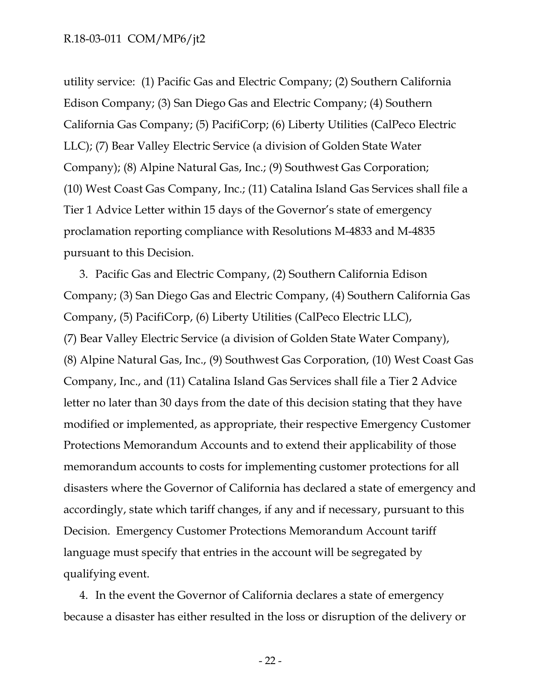utility service: (1) Pacific Gas and Electric Company; (2) Southern California Edison Company; (3) San Diego Gas and Electric Company; (4) Southern California Gas Company; (5) PacifiCorp; (6) Liberty Utilities (CalPeco Electric LLC); (7) Bear Valley Electric Service (a division of Golden State Water Company); (8) Alpine Natural Gas, Inc.; (9) Southwest Gas Corporation; (10) West Coast Gas Company, Inc.; (11) Catalina Island Gas Services shall file a Tier 1 Advice Letter within 15 days of the Governor's state of emergency proclamation reporting compliance with Resolutions M-4833 and M-4835 pursuant to this Decision.

3. Pacific Gas and Electric Company, (2) Southern California Edison Company; (3) San Diego Gas and Electric Company, (4) Southern California Gas Company, (5) PacifiCorp, (6) Liberty Utilities (CalPeco Electric LLC), (7) Bear Valley Electric Service (a division of Golden State Water Company), (8) Alpine Natural Gas, Inc., (9) Southwest Gas Corporation, (10) West Coast Gas Company, Inc., and (11) Catalina Island Gas Services shall file a Tier 2 Advice letter no later than 30 days from the date of this decision stating that they have modified or implemented, as appropriate, their respective Emergency Customer Protections Memorandum Accounts and to extend their applicability of those memorandum accounts to costs for implementing customer protections for all disasters where the Governor of California has declared a state of emergency and accordingly, state which tariff changes, if any and if necessary, pursuant to this Decision. Emergency Customer Protections Memorandum Account tariff language must specify that entries in the account will be segregated by qualifying event.

4. In the event the Governor of California declares a state of emergency because a disaster has either resulted in the loss or disruption of the delivery or

- 22 -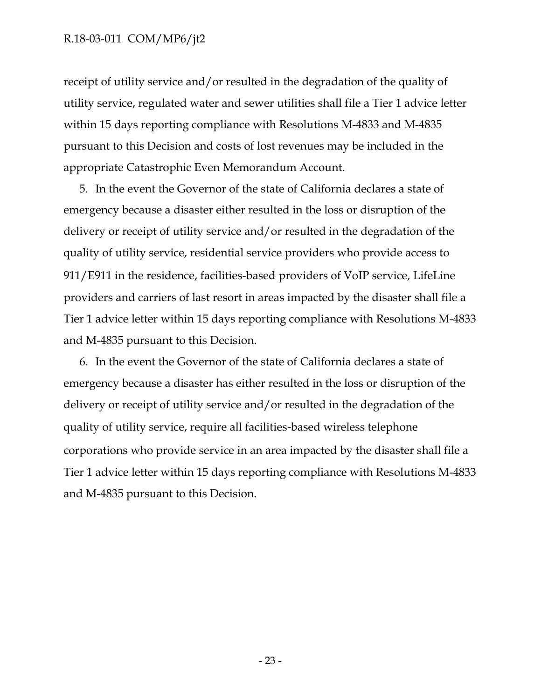receipt of utility service and/or resulted in the degradation of the quality of utility service, regulated water and sewer utilities shall file a Tier 1 advice letter within 15 days reporting compliance with Resolutions M-4833 and M-4835 pursuant to this Decision and costs of lost revenues may be included in the appropriate Catastrophic Even Memorandum Account.

5. In the event the Governor of the state of California declares a state of emergency because a disaster either resulted in the loss or disruption of the delivery or receipt of utility service and/or resulted in the degradation of the quality of utility service, residential service providers who provide access to 911/E911 in the residence, facilities-based providers of VoIP service, LifeLine providers and carriers of last resort in areas impacted by the disaster shall file a Tier 1 advice letter within 15 days reporting compliance with Resolutions M-4833 and M-4835 pursuant to this Decision.

6. In the event the Governor of the state of California declares a state of emergency because a disaster has either resulted in the loss or disruption of the delivery or receipt of utility service and/or resulted in the degradation of the quality of utility service, require all facilities-based wireless telephone corporations who provide service in an area impacted by the disaster shall file a Tier 1 advice letter within 15 days reporting compliance with Resolutions M-4833 and M-4835 pursuant to this Decision.